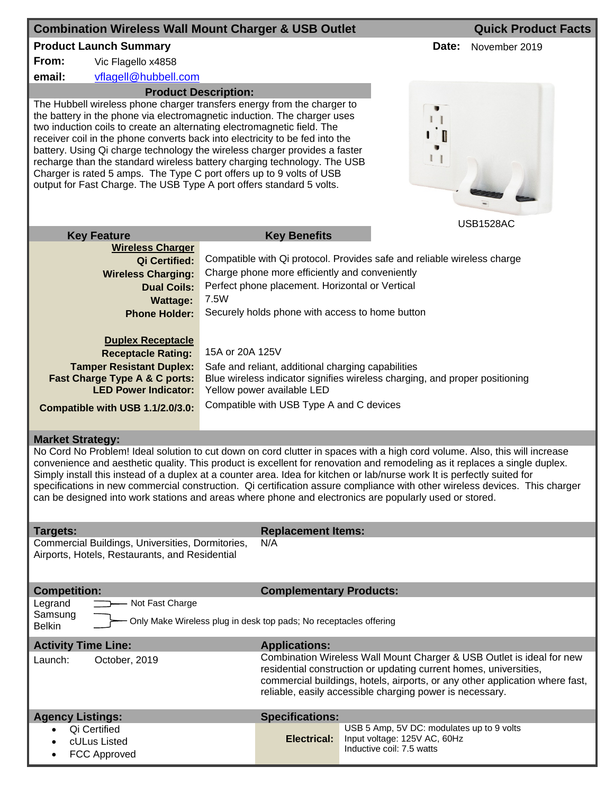| <b>Combination Wireless Wall Mount Charger &amp; USB Outlet</b>                                                                                                                                                                                                                                                                                                                                                                                                                                                                                                                                                                                         |                                                                                                                                                                                                                                                                                        |                                                                                                                                   |                                                                                                        |       | <b>Quick Product Facts</b> |  |
|---------------------------------------------------------------------------------------------------------------------------------------------------------------------------------------------------------------------------------------------------------------------------------------------------------------------------------------------------------------------------------------------------------------------------------------------------------------------------------------------------------------------------------------------------------------------------------------------------------------------------------------------------------|----------------------------------------------------------------------------------------------------------------------------------------------------------------------------------------------------------------------------------------------------------------------------------------|-----------------------------------------------------------------------------------------------------------------------------------|--------------------------------------------------------------------------------------------------------|-------|----------------------------|--|
| <b>Product Launch Summary</b>                                                                                                                                                                                                                                                                                                                                                                                                                                                                                                                                                                                                                           |                                                                                                                                                                                                                                                                                        |                                                                                                                                   |                                                                                                        | Date: | November 2019              |  |
| From:<br>Vic Flagello x4858                                                                                                                                                                                                                                                                                                                                                                                                                                                                                                                                                                                                                             |                                                                                                                                                                                                                                                                                        |                                                                                                                                   |                                                                                                        |       |                            |  |
| email:<br>vflagell@hubbell.com                                                                                                                                                                                                                                                                                                                                                                                                                                                                                                                                                                                                                          |                                                                                                                                                                                                                                                                                        |                                                                                                                                   |                                                                                                        |       |                            |  |
| <b>Product Description:</b><br>The Hubbell wireless phone charger transfers energy from the charger to<br>the battery in the phone via electromagnetic induction. The charger uses<br>two induction coils to create an alternating electromagnetic field. The<br>receiver coil in the phone converts back into electricity to be fed into the<br>battery. Using Qi charge technology the wireless charger provides a faster<br>recharge than the standard wireless battery charging technology. The USB<br>Charger is rated 5 amps. The Type C port offers up to 9 volts of USB<br>output for Fast Charge. The USB Type A port offers standard 5 volts. |                                                                                                                                                                                                                                                                                        |                                                                                                                                   |                                                                                                        |       |                            |  |
| <b>Key Feature</b>                                                                                                                                                                                                                                                                                                                                                                                                                                                                                                                                                                                                                                      |                                                                                                                                                                                                                                                                                        | <b>Key Benefits</b>                                                                                                               |                                                                                                        |       | <b>USB1528AC</b>           |  |
| <b>Wireless Charger</b>                                                                                                                                                                                                                                                                                                                                                                                                                                                                                                                                                                                                                                 |                                                                                                                                                                                                                                                                                        |                                                                                                                                   |                                                                                                        |       |                            |  |
| <b>Qi Certified:</b>                                                                                                                                                                                                                                                                                                                                                                                                                                                                                                                                                                                                                                    |                                                                                                                                                                                                                                                                                        | Compatible with Qi protocol. Provides safe and reliable wireless charge                                                           |                                                                                                        |       |                            |  |
| <b>Wireless Charging:</b>                                                                                                                                                                                                                                                                                                                                                                                                                                                                                                                                                                                                                               |                                                                                                                                                                                                                                                                                        | Charge phone more efficiently and conveniently                                                                                    |                                                                                                        |       |                            |  |
| <b>Dual Coils:</b>                                                                                                                                                                                                                                                                                                                                                                                                                                                                                                                                                                                                                                      | Perfect phone placement. Horizontal or Vertical<br>7.5W                                                                                                                                                                                                                                |                                                                                                                                   |                                                                                                        |       |                            |  |
| <b>Wattage:</b><br><b>Phone Holder:</b>                                                                                                                                                                                                                                                                                                                                                                                                                                                                                                                                                                                                                 | Securely holds phone with access to home button                                                                                                                                                                                                                                        |                                                                                                                                   |                                                                                                        |       |                            |  |
| <b>Duplex Receptacle</b><br><b>Receptacle Rating:</b><br><b>Tamper Resistant Duplex:</b>                                                                                                                                                                                                                                                                                                                                                                                                                                                                                                                                                                |                                                                                                                                                                                                                                                                                        | 15A or 20A 125V                                                                                                                   |                                                                                                        |       |                            |  |
| Fast Charge Type A & C ports:                                                                                                                                                                                                                                                                                                                                                                                                                                                                                                                                                                                                                           |                                                                                                                                                                                                                                                                                        | Safe and reliant, additional charging capabilities<br>Blue wireless indicator signifies wireless charging, and proper positioning |                                                                                                        |       |                            |  |
| <b>LED Power Indicator:</b>                                                                                                                                                                                                                                                                                                                                                                                                                                                                                                                                                                                                                             |                                                                                                                                                                                                                                                                                        | Yellow power available LED                                                                                                        |                                                                                                        |       |                            |  |
| Compatible with USB 1.1/2.0/3.0:                                                                                                                                                                                                                                                                                                                                                                                                                                                                                                                                                                                                                        |                                                                                                                                                                                                                                                                                        | Compatible with USB Type A and C devices                                                                                          |                                                                                                        |       |                            |  |
|                                                                                                                                                                                                                                                                                                                                                                                                                                                                                                                                                                                                                                                         |                                                                                                                                                                                                                                                                                        |                                                                                                                                   |                                                                                                        |       |                            |  |
| <b>Market Strategy:</b>                                                                                                                                                                                                                                                                                                                                                                                                                                                                                                                                                                                                                                 |                                                                                                                                                                                                                                                                                        |                                                                                                                                   |                                                                                                        |       |                            |  |
| No Cord No Problem! Ideal solution to cut down on cord clutter in spaces with a high cord volume. Also, this will increase<br>convenience and aesthetic quality. This product is excellent for renovation and remodeling as it replaces a single duplex.<br>Simply install this instead of a duplex at a counter area. Idea for kitchen or lab/nurse work It is perfectly suited for<br>specifications in new commercial construction. Qi certification assure compliance with other wireless devices. This charger<br>can be designed into work stations and areas where phone and electronics are popularly used or stored.                           |                                                                                                                                                                                                                                                                                        |                                                                                                                                   |                                                                                                        |       |                            |  |
| <b>Replacement Items:</b><br>Targets:<br>Commercial Buildings, Universities, Dormitories,<br>N/A<br>Airports, Hotels, Restaurants, and Residential                                                                                                                                                                                                                                                                                                                                                                                                                                                                                                      |                                                                                                                                                                                                                                                                                        |                                                                                                                                   |                                                                                                        |       |                            |  |
| <b>Competition:</b>                                                                                                                                                                                                                                                                                                                                                                                                                                                                                                                                                                                                                                     |                                                                                                                                                                                                                                                                                        | <b>Complementary Products:</b>                                                                                                    |                                                                                                        |       |                            |  |
| Legrand<br>Not Fast Charge<br>Samsung<br>Only Make Wireless plug in desk top pads; No receptacles offering<br><b>Belkin</b>                                                                                                                                                                                                                                                                                                                                                                                                                                                                                                                             |                                                                                                                                                                                                                                                                                        |                                                                                                                                   |                                                                                                        |       |                            |  |
| <b>Activity Time Line:</b><br><b>Applications:</b>                                                                                                                                                                                                                                                                                                                                                                                                                                                                                                                                                                                                      |                                                                                                                                                                                                                                                                                        |                                                                                                                                   |                                                                                                        |       |                            |  |
| Launch:<br>October, 2019                                                                                                                                                                                                                                                                                                                                                                                                                                                                                                                                                                                                                                | Combination Wireless Wall Mount Charger & USB Outlet is ideal for new<br>residential construction or updating current homes, universities,<br>commercial buildings, hotels, airports, or any other application where fast,<br>reliable, easily accessible charging power is necessary. |                                                                                                                                   |                                                                                                        |       |                            |  |
| <b>Agency Listings:</b>                                                                                                                                                                                                                                                                                                                                                                                                                                                                                                                                                                                                                                 |                                                                                                                                                                                                                                                                                        | <b>Specifications:</b>                                                                                                            |                                                                                                        |       |                            |  |
| Qi Certified<br>cULus Listed<br><b>FCC Approved</b>                                                                                                                                                                                                                                                                                                                                                                                                                                                                                                                                                                                                     |                                                                                                                                                                                                                                                                                        | <b>Electrical:</b>                                                                                                                | USB 5 Amp, 5V DC: modulates up to 9 volts<br>Input voltage: 125V AC, 60Hz<br>Inductive coil: 7.5 watts |       |                            |  |
|                                                                                                                                                                                                                                                                                                                                                                                                                                                                                                                                                                                                                                                         |                                                                                                                                                                                                                                                                                        |                                                                                                                                   |                                                                                                        |       |                            |  |